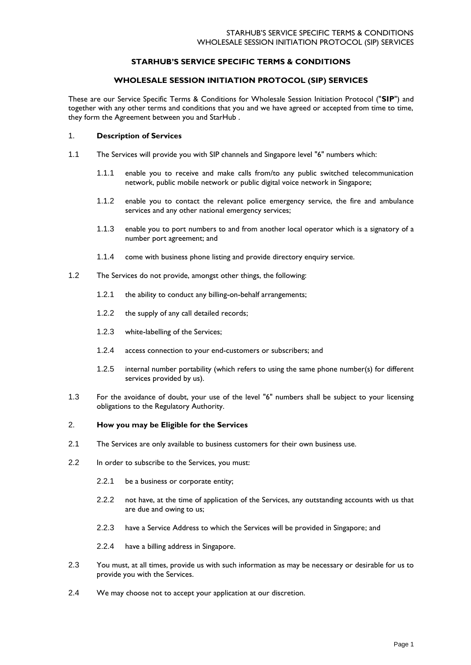# **STARHUB'S SERVICE SPECIFIC TERMS & CONDITIONS**

## **WHOLESALE SESSION INITIATION PROTOCOL (SIP) SERVICES**

These are our Service Specific Terms & Conditions for Wholesale Session Initiation Protocol ("**SIP**") and together with any other terms and conditions that you and we have agreed or accepted from time to time, they form the Agreement between you and StarHub .

#### 1. **Description of Services**

- 1.1 The Services will provide you with SIP channels and Singapore level "6" numbers which:
	- 1.1.1 enable you to receive and make calls from/to any public switched telecommunication network, public mobile network or public digital voice network in Singapore;
	- 1.1.2 enable you to contact the relevant police emergency service, the fire and ambulance services and any other national emergency services;
	- 1.1.3 enable you to port numbers to and from another local operator which is a signatory of a number port agreement; and
	- 1.1.4 come with business phone listing and provide directory enquiry service.
- 1.2 The Services do not provide, amongst other things, the following:
	- 1.2.1 the ability to conduct any billing-on-behalf arrangements;
	- 1.2.2 the supply of any call detailed records;
	- 1.2.3 white-labelling of the Services;
	- 1.2.4 access connection to your end-customers or subscribers; and
	- 1.2.5 internal number portability (which refers to using the same phone number(s) for different services provided by us).
- 1.3 For the avoidance of doubt, your use of the level "6" numbers shall be subject to your licensing obligations to the Regulatory Authority.

## 2. **How you may be Eligible for the Services**

- 2.1 The Services are only available to business customers for their own business use.
- 2.2 In order to subscribe to the Services, you must:
	- 2.2.1 be a business or corporate entity;
	- 2.2.2 not have, at the time of application of the Services, any outstanding accounts with us that are due and owing to us;
	- 2.2.3 have a Service Address to which the Services will be provided in Singapore; and
	- 2.2.4 have a billing address in Singapore.
- 2.3 You must, at all times, provide us with such information as may be necessary or desirable for us to provide you with the Services.
- 2.4 We may choose not to accept your application at our discretion.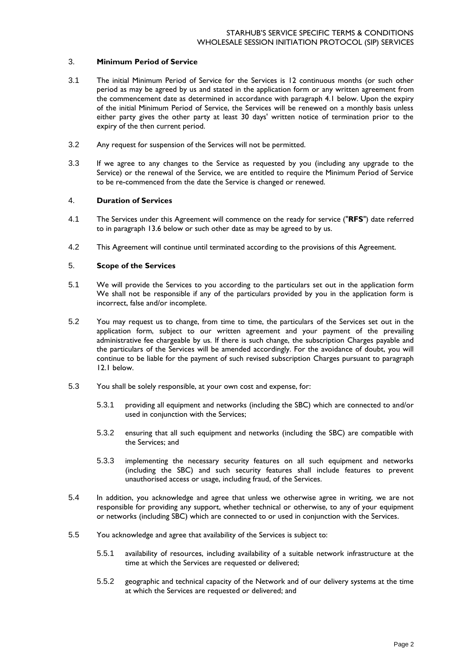## 3. **Minimum Period of Service**

- 3.1 The initial Minimum Period of Service for the Services is 12 continuous months (or such other period as may be agreed by us and stated in the application form or any written agreement from the commencement date as determined in accordance with paragraph 4.1 below. Upon the expiry of the initial Minimum Period of Service, the Services will be renewed on a monthly basis unless either party gives the other party at least 30 days' written notice of termination prior to the expiry of the then current period.
- 3.2 Any request for suspension of the Services will not be permitted.
- 3.3 If we agree to any changes to the Service as requested by you (including any upgrade to the Service) or the renewal of the Service, we are entitled to require the Minimum Period of Service to be re-commenced from the date the Service is changed or renewed.

# 4. **Duration of Services**

- 4.1 The Services under this Agreement will commence on the ready for service ("**RFS**") date referred to in paragraph 13.6 below or such other date as may be agreed to by us.
- 4.2 This Agreement will continue until terminated according to the provisions of this Agreement.

# 5. **Scope of the Services**

- 5.1 We will provide the Services to you according to the particulars set out in the application form We shall not be responsible if any of the particulars provided by you in the application form is incorrect, false and/or incomplete.
- 5.2 You may request us to change, from time to time, the particulars of the Services set out in the application form, subject to our written agreement and your payment of the prevailing administrative fee chargeable by us. If there is such change, the subscription Charges payable and the particulars of the Services will be amended accordingly. For the avoidance of doubt, you will continue to be liable for the payment of such revised subscription Charges pursuant to paragraph 12.1 below.
- 5.3 You shall be solely responsible, at your own cost and expense, for:
	- 5.3.1 providing all equipment and networks (including the SBC) which are connected to and/or used in conjunction with the Services;
	- 5.3.2 ensuring that all such equipment and networks (including the SBC) are compatible with the Services; and
	- 5.3.3 implementing the necessary security features on all such equipment and networks (including the SBC) and such security features shall include features to prevent unauthorised access or usage, including fraud, of the Services.
- 5.4 In addition, you acknowledge and agree that unless we otherwise agree in writing, we are not responsible for providing any support, whether technical or otherwise, to any of your equipment or networks (including SBC) which are connected to or used in conjunction with the Services.
- 5.5 You acknowledge and agree that availability of the Services is subject to:
	- 5.5.1 availability of resources, including availability of a suitable network infrastructure at the time at which the Services are requested or delivered;
	- 5.5.2 geographic and technical capacity of the Network and of our delivery systems at the time at which the Services are requested or delivered; and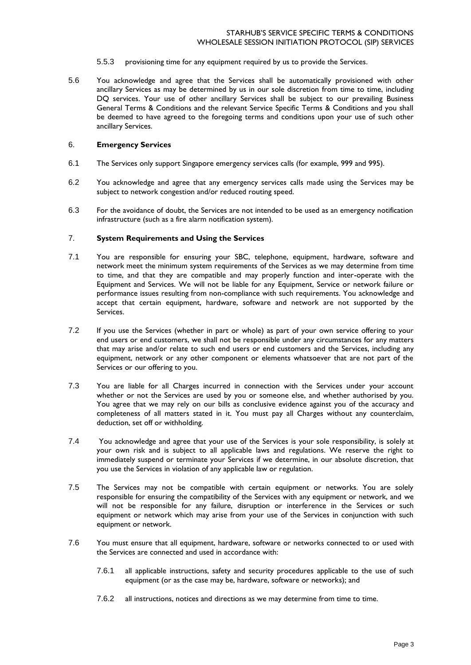- 5.5.3 provisioning time for any equipment required by us to provide the Services.
- 5.6 You acknowledge and agree that the Services shall be automatically provisioned with other ancillary Services as may be determined by us in our sole discretion from time to time, including DQ services. Your use of other ancillary Services shall be subject to our prevailing Business General Terms & Conditions and the relevant Service Specific Terms & Conditions and you shall be deemed to have agreed to the foregoing terms and conditions upon your use of such other ancillary Services.

#### 6. **Emergency Services**

- 6.1 The Services only support Singapore emergency services calls (for example, 999 and 995).
- 6.2 You acknowledge and agree that any emergency services calls made using the Services may be subject to network congestion and/or reduced routing speed.
- 6.3 For the avoidance of doubt, the Services are not intended to be used as an emergency notification infrastructure (such as a fire alarm notification system).

## 7. **System Requirements and Using the Services**

- 7.1 You are responsible for ensuring your SBC, telephone, equipment, hardware, software and network meet the minimum system requirements of the Services as we may determine from time to time, and that they are compatible and may properly function and inter-operate with the Equipment and Services. We will not be liable for any Equipment, Service or network failure or performance issues resulting from non-compliance with such requirements. You acknowledge and accept that certain equipment, hardware, software and network are not supported by the Services.
- 7.2 If you use the Services (whether in part or whole) as part of your own service offering to your end users or end customers, we shall not be responsible under any circumstances for any matters that may arise and/or relate to such end users or end customers and the Services, including any equipment, network or any other component or elements whatsoever that are not part of the Services or our offering to you.
- 7.3 You are liable for all Charges incurred in connection with the Services under your account whether or not the Services are used by you or someone else, and whether authorised by you. You agree that we may rely on our bills as conclusive evidence against you of the accuracy and completeness of all matters stated in it. You must pay all Charges without any counterclaim, deduction, set off or withholding.
- 7.4 You acknowledge and agree that your use of the Services is your sole responsibility, is solely at your own risk and is subject to all applicable laws and regulations. We reserve the right to immediately suspend or terminate your Services if we determine, in our absolute discretion, that you use the Services in violation of any applicable law or regulation.
- 7.5 The Services may not be compatible with certain equipment or networks. You are solely responsible for ensuring the compatibility of the Services with any equipment or network, and we will not be responsible for any failure, disruption or interference in the Services or such equipment or network which may arise from your use of the Services in conjunction with such equipment or network.
- 7.6 You must ensure that all equipment, hardware, software or networks connected to or used with the Services are connected and used in accordance with:
	- 7.6.1 all applicable instructions, safety and security procedures applicable to the use of such equipment (or as the case may be, hardware, software or networks); and
	- 7.6.2 all instructions, notices and directions as we may determine from time to time.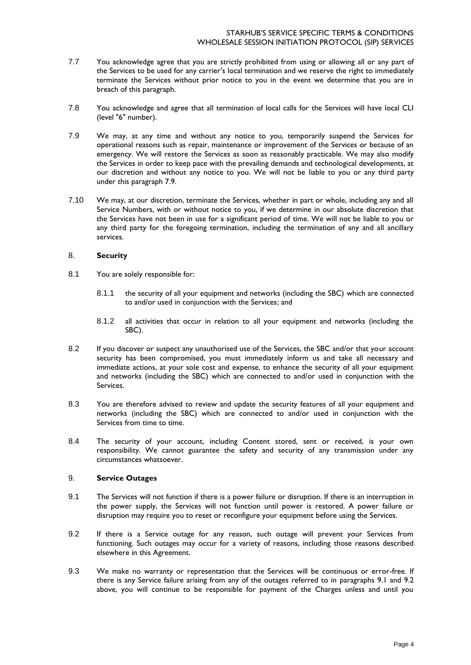- 7.7 You acknowledge agree that you are strictly prohibited from using or allowing all or any part of the Services to be used for any carrier's local termination and we reserve the right to immediately terminate the Services without prior notice to you in the event we determine that you are in breach of this paragraph.
- 7.8 You acknowledge and agree that all termination of local calls for the Services will have local CLI (level "6" number).
- 7.9 We may, at any time and without any notice to you, temporarily suspend the Services for operational reasons such as repair, maintenance or improvement of the Services or because of an emergency. We will restore the Services as soon as reasonably practicable. We may also modify the Services in order to keep pace with the prevailing demands and technological developments, at our discretion and without any notice to you. We will not be liable to you or any third party under this paragraph 7.9.
- 7.10 We may, at our discretion, terminate the Services, whether in part or whole, including any and all Service Numbers, with or without notice to you, if we determine in our absolute discretion that the Services have not been in use for a significant period of time. We will not be liable to you or any third party for the foregoing termination, including the termination of any and all ancillary services.

## 8. **Security**

- 8.1 You are solely responsible for:
	- 8.1.1 the security of all your equipment and networks (including the SBC) which are connected to and/or used in conjunction with the Services; and
	- 8.1.2 all activities that occur in relation to all your equipment and networks (including the SBC).
- 8.2 If you discover or suspect any unauthorised use of the Services, the SBC and/or that your account security has been compromised, you must immediately inform us and take all necessary and immediate actions, at your sole cost and expense, to enhance the security of all your equipment and networks (including the SBC) which are connected to and/or used in conjunction with the Services.
- 8.3 You are therefore advised to review and update the security features of all your equipment and networks (including the SBC) which are connected to and/or used in conjunction with the Services from time to time.
- 8.4 The security of your account, including Content stored, sent or received, is your own responsibility. We cannot guarantee the safety and security of any transmission under any circumstances whatsoever.

# 9. **Service Outages**

- 9.1 The Services will not function if there is a power failure or disruption. If there is an interruption in the power supply, the Services will not function until power is restored. A power failure or disruption may require you to reset or reconfigure your equipment before using the Services.
- 9.2 If there is a Service outage for any reason, such outage will prevent your Services from functioning. Such outages may occur for a variety of reasons, including those reasons described elsewhere in this Agreement.
- 9.3 We make no warranty or representation that the Services will be continuous or error-free. If there is any Service failure arising from any of the outages referred to in paragraphs 9.1 and 9.2 above, you will continue to be responsible for payment of the Charges unless and until you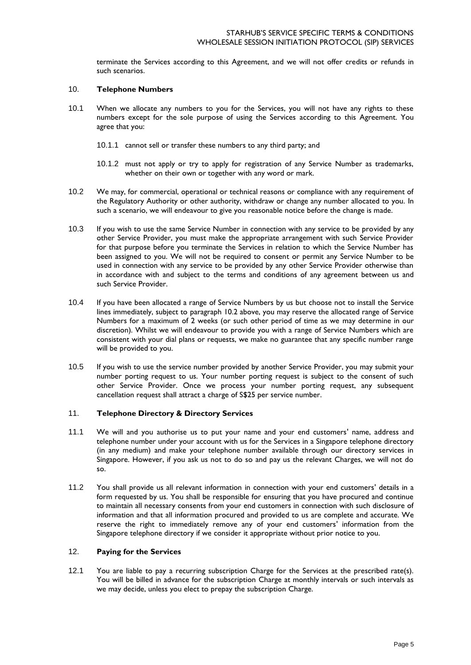terminate the Services according to this Agreement, and we will not offer credits or refunds in such scenarios.

## 10. **Telephone Numbers**

- 10.1 When we allocate any numbers to you for the Services, you will not have any rights to these numbers except for the sole purpose of using the Services according to this Agreement. You agree that you:
	- 10.1.1 cannot sell or transfer these numbers to any third party; and
	- 10.1.2 must not apply or try to apply for registration of any Service Number as trademarks, whether on their own or together with any word or mark.
- 10.2 We may, for commercial, operational or technical reasons or compliance with any requirement of the Regulatory Authority or other authority, withdraw or change any number allocated to you. In such a scenario, we will endeavour to give you reasonable notice before the change is made.
- 10.3 If you wish to use the same Service Number in connection with any service to be provided by any other Service Provider, you must make the appropriate arrangement with such Service Provider for that purpose before you terminate the Services in relation to which the Service Number has been assigned to you. We will not be required to consent or permit any Service Number to be used in connection with any service to be provided by any other Service Provider otherwise than in accordance with and subject to the terms and conditions of any agreement between us and such Service Provider.
- 10.4 If you have been allocated a range of Service Numbers by us but choose not to install the Service lines immediately, subject to paragraph 10.2 above, you may reserve the allocated range of Service Numbers for a maximum of 2 weeks (or such other period of time as we may determine in our discretion). Whilst we will endeavour to provide you with a range of Service Numbers which are consistent with your dial plans or requests, we make no guarantee that any specific number range will be provided to you.
- 10.5 If you wish to use the service number provided by another Service Provider, you may submit your number porting request to us. Your number porting request is subject to the consent of such other Service Provider. Once we process your number porting request, any subsequent cancellation request shall attract a charge of S\$25 per service number.

## 11. **Telephone Directory & Directory Services**

- 11.1 We will and you authorise us to put your name and your end customers' name, address and telephone number under your account with us for the Services in a Singapore telephone directory (in any medium) and make your telephone number available through our directory services in Singapore. However, if you ask us not to do so and pay us the relevant Charges, we will not do so.
- 11.2 You shall provide us all relevant information in connection with your end customers' details in a form requested by us. You shall be responsible for ensuring that you have procured and continue to maintain all necessary consents from your end customers in connection with such disclosure of information and that all information procured and provided to us are complete and accurate. We reserve the right to immediately remove any of your end customers' information from the Singapore telephone directory if we consider it appropriate without prior notice to you.

# 12. **Paying for the Services**

12.1 You are liable to pay a recurring subscription Charge for the Services at the prescribed rate(s). You will be billed in advance for the subscription Charge at monthly intervals or such intervals as we may decide, unless you elect to prepay the subscription Charge.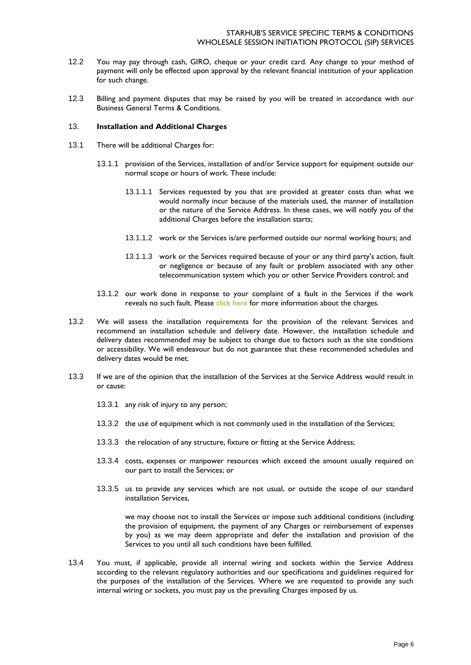- 12.2 You may pay through cash, GIRO, cheque or your credit card. Any change to your method of payment will only be effected upon approval by the relevant financial institution of your application for such change.
- 12.3 Billing and payment disputes that may be raised by you will be treated in accordance with our Business General Terms & Conditions.

### 13. **Installation and Additional Charges**

- 13.1 There will be additional Charges for:
	- 13.1.1 provision of the Services, installation of and/or Service support for equipment outside our normal scope or hours of work. These include:
		- 13.1.1.1 Services requested by you that are provided at greater costs than what we would normally incur because of the materials used, the manner of installation or the nature of the Service Address. In these cases, we will notify you of the additional Charges before the installation starts;
		- 13.1.1.2 work or the Services is/are performed outside our normal working hours; and
		- 13.1.1.3 work or the Services required because of your or any third party's action, fault or negligence or because of any fault or problem associated with any other telecommunication system which you or other Service Providers control; and
	- 13.1.2 our work done in response to your complaint of a fault in the Services if the work reveals no such fault. Please [click here](https://www.starhub.com/content/dam/starhub/2015/business/support/voice-idd/voiceservices/fe-charges-pl.pdf) for more information about the charges.
- 13.2 We will assess the installation requirements for the provision of the relevant Services and recommend an installation schedule and delivery date. However, the installation schedule and delivery dates recommended may be subject to change due to factors such as the site conditions or accessibility. We will endeavour but do not guarantee that these recommended schedules and delivery dates would be met.
- 13.3 If we are of the opinion that the installation of the Services at the Service Address would result in or cause:
	- 13.3.1 any risk of injury to any person;
	- 13.3.2 the use of equipment which is not commonly used in the installation of the Services;
	- 13.3.3 the relocation of any structure, fixture or fitting at the Service Address;
	- 13.3.4 costs, expenses or manpower resources which exceed the amount usually required on our part to install the Services; or
	- 13.3.5 us to provide any services which are not usual, or outside the scope of our standard installation Services,

we may choose not to install the Services or impose such additional conditions (including the provision of equipment, the payment of any Charges or reimbursement of expenses by you) as we may deem appropriate and defer the installation and provision of the Services to you until all such conditions have been fulfilled.

13.4 You must, if applicable, provide all internal wiring and sockets within the Service Address according to the relevant regulatory authorities and our specifications and guidelines required for the purposes of the installation of the Services. Where we are requested to provide any such internal wiring or sockets, you must pay us the prevailing Charges imposed by us.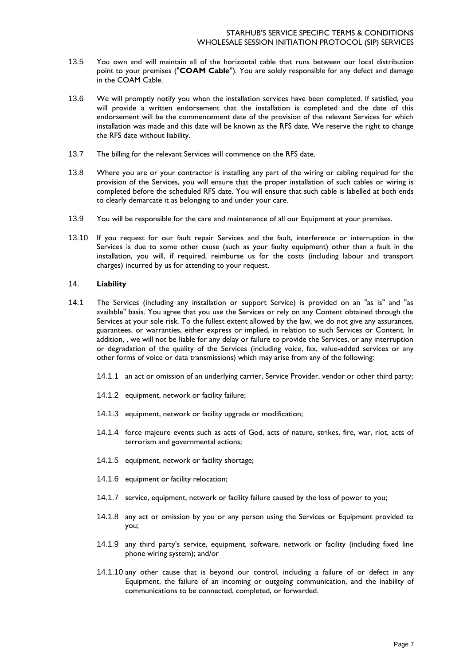- 13.5 You own and will maintain all of the horizontal cable that runs between our local distribution point to your premises ("**COAM Cable**"). You are solely responsible for any defect and damage in the COAM Cable.
- 13.6 We will promptly notify you when the installation services have been completed. If satisfied, you will provide a written endorsement that the installation is completed and the date of this endorsement will be the commencement date of the provision of the relevant Services for which installation was made and this date will be known as the RFS date. We reserve the right to change the RFS date without liability.
- 13.7 The billing for the relevant Services will commence on the RFS date.
- 13.8 Where you are or your contractor is installing any part of the wiring or cabling required for the provision of the Services, you will ensure that the proper installation of such cables or wiring is completed before the scheduled RFS date. You will ensure that such cable is labelled at both ends to clearly demarcate it as belonging to and under your care.
- 13.9 You will be responsible for the care and maintenance of all our Equipment at your premises.
- 13.10 If you request for our fault repair Services and the fault, interference or interruption in the Services is due to some other cause (such as your faulty equipment) other than a fault in the installation, you will, if required, reimburse us for the costs (including labour and transport charges) incurred by us for attending to your request.

## 14. **Liability**

- 14.1 The Services (including any installation or support Service) is provided on an "as is" and "as available" basis. You agree that you use the Services or rely on any Content obtained through the Services at your sole risk. To the fullest extent allowed by the law, we do not give any assurances, guarantees, or warranties, either express or implied, in relation to such Services or Content. In addition, , we will not be liable for any delay or failure to provide the Services, or any interruption or degradation of the quality of the Services (including voice, fax, value-added services or any other forms of voice or data transmissions) which may arise from any of the following:
	- 14.1.1 an act or omission of an underlying carrier, Service Provider, vendor or other third party;
	- 14.1.2 equipment, network or facility failure;
	- 14.1.3 equipment, network or facility upgrade or modification;
	- 14.1.4 force majeure events such as acts of God, acts of nature, strikes, fire, war, riot, acts of terrorism and governmental actions;
	- 14.1.5 equipment, network or facility shortage;
	- 14.1.6 equipment or facility relocation;
	- 14.1.7 service, equipment, network or facility failure caused by the loss of power to you;
	- 14.1.8 any act or omission by you or any person using the Services or Equipment provided to you;
	- 14.1.9 any third party's service, equipment, software, network or facility (including fixed line phone wiring system); and/or
	- 14.1.10 any other cause that is beyond our control, including a failure of or defect in any Equipment, the failure of an incoming or outgoing communication, and the inability of communications to be connected, completed, or forwarded.